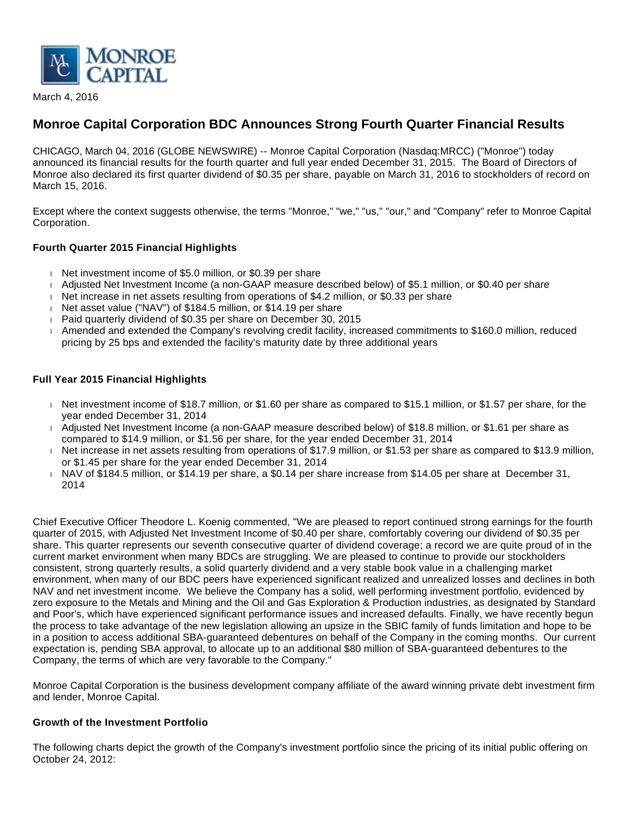

March 4, 2016

# **Monroe Capital Corporation BDC Announces Strong Fourth Quarter Financial Results**

CHICAGO, March 04, 2016 (GLOBE NEWSWIRE) -- Monroe Capital Corporation (Nasdaq:MRCC) ("Monroe") today announced its financial results for the fourth quarter and full year ended December 31, 2015. The Board of Directors of Monroe also declared its first quarter dividend of \$0.35 per share, payable on March 31, 2016 to stockholders of record on March 15, 2016.

Except where the context suggests otherwise, the terms "Monroe," "we," "us," "our," and "Company" refer to Monroe Capital Corporation.

## **Fourth Quarter 2015 Financial Highlights**

- Net investment income of \$5.0 million, or \$0.39 per share
- Adjusted Net Investment Income (a non-GAAP measure described below) of \$5.1 million, or \$0.40 per share
- Net increase in net assets resulting from operations of \$4.2 million, or \$0.33 per share
- Net asset value ("NAV") of \$184.5 million, or \$14.19 per share
- Paid quarterly dividend of \$0.35 per share on December 30, 2015
- Amended and extended the Company's revolving credit facility, increased commitments to \$160.0 million, reduced pricing by 25 bps and extended the facility's maturity date by three additional years

## **Full Year 2015 Financial Highlights**

- Net investment income of \$18.7 million, or \$1.60 per share as compared to \$15.1 million, or \$1.57 per share, for the year ended December 31, 2014
- Adjusted Net Investment Income (a non-GAAP measure described below) of \$18.8 million, or \$1.61 per share as compared to \$14.9 million, or \$1.56 per share, for the year ended December 31, 2014
- $\blacksquare$  Net increase in net assets resulting from operations of \$17.9 million, or \$1.53 per share as compared to \$13.9 million, or \$1.45 per share for the year ended December 31, 2014
- NAV of \$184.5 million, or \$14.19 per share, a \$0.14 per share increase from \$14.05 per share at December 31, 2014

Chief Executive Officer Theodore L. Koenig commented, "We are pleased to report continued strong earnings for the fourth quarter of 2015, with Adjusted Net Investment Income of \$0.40 per share, comfortably covering our dividend of \$0.35 per share. This quarter represents our seventh consecutive quarter of dividend coverage; a record we are quite proud of in the current market environment when many BDCs are struggling. We are pleased to continue to provide our stockholders consistent, strong quarterly results, a solid quarterly dividend and a very stable book value in a challenging market environment, when many of our BDC peers have experienced significant realized and unrealized losses and declines in both NAV and net investment income. We believe the Company has a solid, well performing investment portfolio, evidenced by zero exposure to the Metals and Mining and the Oil and Gas Exploration & Production industries, as designated by Standard and Poor's, which have experienced significant performance issues and increased defaults. Finally, we have recently begun the process to take advantage of the new legislation allowing an upsize in the SBIC family of funds limitation and hope to be in a position to access additional SBA-guaranteed debentures on behalf of the Company in the coming months. Our current expectation is, pending SBA approval, to allocate up to an additional \$80 million of SBA-guaranteed debentures to the Company, the terms of which are very favorable to the Company."

Monroe Capital Corporation is the business development company affiliate of the award winning private debt investment firm and lender, Monroe Capital.

### **Growth of the Investment Portfolio**

The following charts depict the growth of the Company's investment portfolio since the pricing of its initial public offering on October 24, 2012: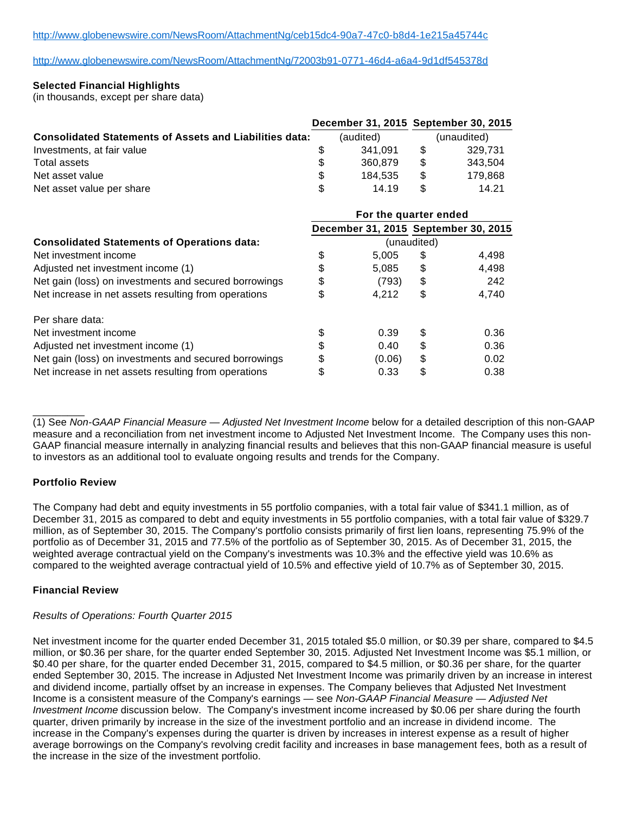[http://www.globenewswire.com/NewsRoom/AttachmentNg/72003b91-0771-46d4-a6a4-9d1df545378d](http://www.globenewswire.com/Tracker?data=WqPwwzzA7y7WGAXD9E3KNIc2urjt9wD_epbUFf8s6EQ5rP8G3Ilj7SVIXJ39QcA_JiqaZCz_oPHNdqPQJjs80jCXzsk4NrOcDtJrBQC8PwOIPceU0evDmeilR8EWSYWqBsnL9DqKsKAT60NiiP8XbdBJzUmoNg_pne5X6Tu8GU2aR8PxxlGL-GrjgyNvCRHBFP1nY5OjZTEExoriRX0rbDfq8gfvHhtGKaL9VAdwD-bBJRDKV0OB6D6VM7zXvcH8k1Db2qZOIVJwC6uctjOudg==)

#### **Selected Financial Highlights**

(in thousands, except per share data)

|                                                                |     | December 31, 2015 September 30, 2015 |             |         |  |  |
|----------------------------------------------------------------|-----|--------------------------------------|-------------|---------|--|--|
| <b>Consolidated Statements of Assets and Liabilities data:</b> |     | (audited)                            | (unaudited) |         |  |  |
| Investments, at fair value                                     |     | 341.091                              |             | 329.731 |  |  |
| Total assets                                                   | S   | 360,879                              | -S          | 343.504 |  |  |
| Net asset value                                                | \$  | 184.535                              | -S          | 179.868 |  |  |
| Net asset value per share                                      | \$. | 14.19                                | ß.          | 14.21   |  |  |

|                                                       | For the quarter ended |        |                                      |       |  |  |  |  |
|-------------------------------------------------------|-----------------------|--------|--------------------------------------|-------|--|--|--|--|
|                                                       |                       |        | December 31, 2015 September 30, 2015 |       |  |  |  |  |
| <b>Consolidated Statements of Operations data:</b>    | (unaudited)           |        |                                      |       |  |  |  |  |
| Net investment income                                 | S                     | 5,005  | \$                                   | 4,498 |  |  |  |  |
| Adjusted net investment income (1)                    | \$                    | 5.085  | \$                                   | 4,498 |  |  |  |  |
| Net gain (loss) on investments and secured borrowings | \$                    | (793)  | \$                                   | 242   |  |  |  |  |
| Net increase in net assets resulting from operations  | \$                    | 4.212  | \$                                   | 4,740 |  |  |  |  |
| Per share data:                                       |                       |        |                                      |       |  |  |  |  |
| Net investment income                                 | S                     | 0.39   | \$                                   | 0.36  |  |  |  |  |
| Adjusted net investment income (1)                    | S.                    | 0.40   | \$                                   | 0.36  |  |  |  |  |
| Net gain (loss) on investments and secured borrowings | S                     | (0.06) | \$                                   | 0.02  |  |  |  |  |
| Net increase in net assets resulting from operations  |                       | 0.33   | \$                                   | 0.38  |  |  |  |  |

\_\_\_\_\_\_\_\_\_ (1) See Non-GAAP Financial Measure — Adjusted Net Investment Income below for a detailed description of this non-GAAP measure and a reconciliation from net investment income to Adjusted Net Investment Income. The Company uses this non-GAAP financial measure internally in analyzing financial results and believes that this non-GAAP financial measure is useful to investors as an additional tool to evaluate ongoing results and trends for the Company.

#### **Portfolio Review**

The Company had debt and equity investments in 55 portfolio companies, with a total fair value of \$341.1 million, as of December 31, 2015 as compared to debt and equity investments in 55 portfolio companies, with a total fair value of \$329.7 million, as of September 30, 2015. The Company's portfolio consists primarily of first lien loans, representing 75.9% of the portfolio as of December 31, 2015 and 77.5% of the portfolio as of September 30, 2015. As of December 31, 2015, the weighted average contractual yield on the Company's investments was 10.3% and the effective yield was 10.6% as compared to the weighted average contractual yield of 10.5% and effective yield of 10.7% as of September 30, 2015.

#### **Financial Review**

#### Results of Operations: Fourth Quarter 2015

Net investment income for the quarter ended December 31, 2015 totaled \$5.0 million, or \$0.39 per share, compared to \$4.5 million, or \$0.36 per share, for the quarter ended September 30, 2015. Adjusted Net Investment Income was \$5.1 million, or \$0.40 per share, for the quarter ended December 31, 2015, compared to \$4.5 million, or \$0.36 per share, for the quarter ended September 30, 2015. The increase in Adjusted Net Investment Income was primarily driven by an increase in interest and dividend income, partially offset by an increase in expenses. The Company believes that Adjusted Net Investment Income is a consistent measure of the Company's earnings - see Non-GAAP Financial Measure - Adjusted Net Investment Income discussion below. The Company's investment income increased by \$0.06 per share during the fourth quarter, driven primarily by increase in the size of the investment portfolio and an increase in dividend income. The increase in the Company's expenses during the quarter is driven by increases in interest expense as a result of higher average borrowings on the Company's revolving credit facility and increases in base management fees, both as a result of the increase in the size of the investment portfolio.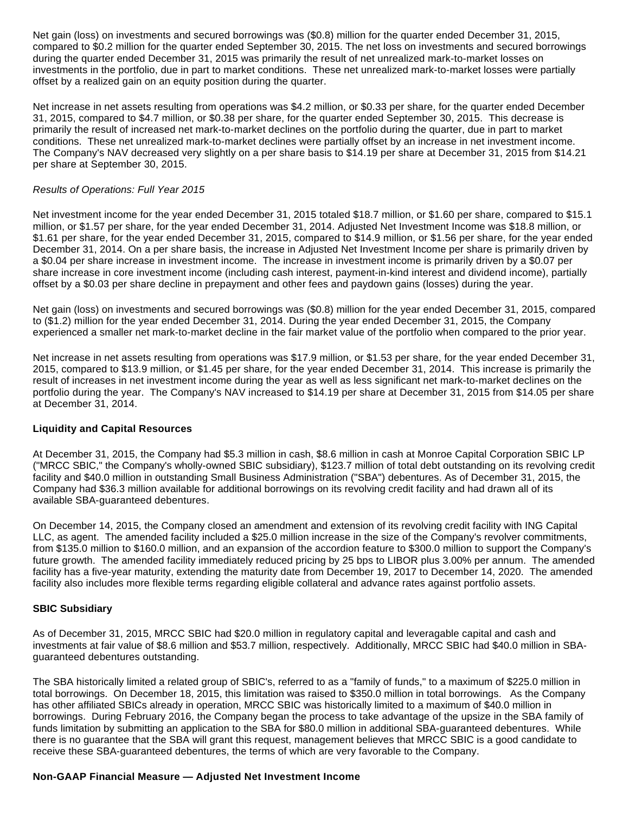Net gain (loss) on investments and secured borrowings was (\$0.8) million for the quarter ended December 31, 2015, compared to \$0.2 million for the quarter ended September 30, 2015. The net loss on investments and secured borrowings during the quarter ended December 31, 2015 was primarily the result of net unrealized mark-to-market losses on investments in the portfolio, due in part to market conditions. These net unrealized mark-to-market losses were partially offset by a realized gain on an equity position during the quarter.

Net increase in net assets resulting from operations was \$4.2 million, or \$0.33 per share, for the quarter ended December 31, 2015, compared to \$4.7 million, or \$0.38 per share, for the quarter ended September 30, 2015. This decrease is primarily the result of increased net mark-to-market declines on the portfolio during the quarter, due in part to market conditions. These net unrealized mark-to-market declines were partially offset by an increase in net investment income. The Company's NAV decreased very slightly on a per share basis to \$14.19 per share at December 31, 2015 from \$14.21 per share at September 30, 2015.

### Results of Operations: Full Year 2015

Net investment income for the year ended December 31, 2015 totaled \$18.7 million, or \$1.60 per share, compared to \$15.1 million, or \$1.57 per share, for the year ended December 31, 2014. Adjusted Net Investment Income was \$18.8 million, or \$1.61 per share, for the year ended December 31, 2015, compared to \$14.9 million, or \$1.56 per share, for the year ended December 31, 2014. On a per share basis, the increase in Adjusted Net Investment Income per share is primarily driven by a \$0.04 per share increase in investment income. The increase in investment income is primarily driven by a \$0.07 per share increase in core investment income (including cash interest, payment-in-kind interest and dividend income), partially offset by a \$0.03 per share decline in prepayment and other fees and paydown gains (losses) during the year.

Net gain (loss) on investments and secured borrowings was (\$0.8) million for the year ended December 31, 2015, compared to (\$1.2) million for the year ended December 31, 2014. During the year ended December 31, 2015, the Company experienced a smaller net mark-to-market decline in the fair market value of the portfolio when compared to the prior year.

Net increase in net assets resulting from operations was \$17.9 million, or \$1.53 per share, for the year ended December 31, 2015, compared to \$13.9 million, or \$1.45 per share, for the year ended December 31, 2014. This increase is primarily the result of increases in net investment income during the year as well as less significant net mark-to-market declines on the portfolio during the year. The Company's NAV increased to \$14.19 per share at December 31, 2015 from \$14.05 per share at December 31, 2014.

#### **Liquidity and Capital Resources**

At December 31, 2015, the Company had \$5.3 million in cash, \$8.6 million in cash at Monroe Capital Corporation SBIC LP ("MRCC SBIC," the Company's wholly-owned SBIC subsidiary), \$123.7 million of total debt outstanding on its revolving credit facility and \$40.0 million in outstanding Small Business Administration ("SBA") debentures. As of December 31, 2015, the Company had \$36.3 million available for additional borrowings on its revolving credit facility and had drawn all of its available SBA-guaranteed debentures.

On December 14, 2015, the Company closed an amendment and extension of its revolving credit facility with ING Capital LLC, as agent. The amended facility included a \$25.0 million increase in the size of the Company's revolver commitments, from \$135.0 million to \$160.0 million, and an expansion of the accordion feature to \$300.0 million to support the Company's future growth. The amended facility immediately reduced pricing by 25 bps to LIBOR plus 3.00% per annum. The amended facility has a five-year maturity, extending the maturity date from December 19, 2017 to December 14, 2020. The amended facility also includes more flexible terms regarding eligible collateral and advance rates against portfolio assets.

#### **SBIC Subsidiary**

As of December 31, 2015, MRCC SBIC had \$20.0 million in regulatory capital and leveragable capital and cash and investments at fair value of \$8.6 million and \$53.7 million, respectively. Additionally, MRCC SBIC had \$40.0 million in SBAguaranteed debentures outstanding.

The SBA historically limited a related group of SBIC's, referred to as a "family of funds," to a maximum of \$225.0 million in total borrowings. On December 18, 2015, this limitation was raised to \$350.0 million in total borrowings. As the Company has other affiliated SBICs already in operation, MRCC SBIC was historically limited to a maximum of \$40.0 million in borrowings. During February 2016, the Company began the process to take advantage of the upsize in the SBA family of funds limitation by submitting an application to the SBA for \$80.0 million in additional SBA-guaranteed debentures. While there is no guarantee that the SBA will grant this request, management believes that MRCC SBIC is a good candidate to receive these SBA-guaranteed debentures, the terms of which are very favorable to the Company.

#### **Non-GAAP Financial Measure — Adjusted Net Investment Income**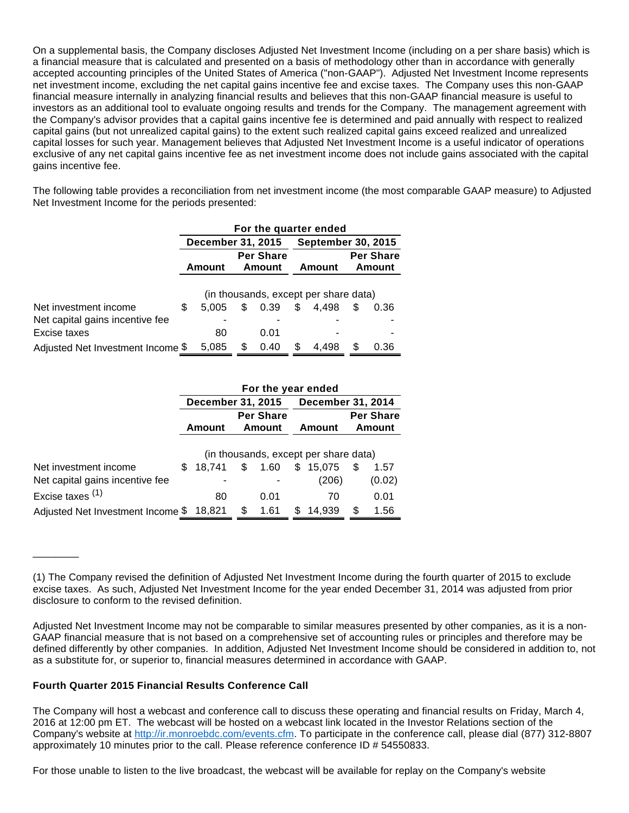On a supplemental basis, the Company discloses Adjusted Net Investment Income (including on a per share basis) which is a financial measure that is calculated and presented on a basis of methodology other than in accordance with generally accepted accounting principles of the United States of America ("non-GAAP"). Adjusted Net Investment Income represents net investment income, excluding the net capital gains incentive fee and excise taxes. The Company uses this non-GAAP financial measure internally in analyzing financial results and believes that this non-GAAP financial measure is useful to investors as an additional tool to evaluate ongoing results and trends for the Company. The management agreement with the Company's advisor provides that a capital gains incentive fee is determined and paid annually with respect to realized capital gains (but not unrealized capital gains) to the extent such realized capital gains exceed realized and unrealized capital losses for such year. Management believes that Adjusted Net Investment Income is a useful indicator of operations exclusive of any net capital gains incentive fee as net investment income does not include gains associated with the capital gains incentive fee.

The following table provides a reconciliation from net investment income (the most comparable GAAP measure) to Adjusted Net Investment Income for the periods presented:

|                                   | For the quarter ended    |        |   |                            |        |                                       |  |                            |  |  |
|-----------------------------------|--------------------------|--------|---|----------------------------|--------|---------------------------------------|--|----------------------------|--|--|
|                                   | <b>December 31, 2015</b> |        |   |                            |        | <b>September 30, 2015</b>             |  |                            |  |  |
|                                   |                          | Amount |   | <b>Per Share</b><br>Amount | Amount |                                       |  | <b>Per Share</b><br>Amount |  |  |
|                                   |                          |        |   |                            |        | (in thousands, except per share data) |  |                            |  |  |
| Net investment income             | \$                       | 5.005  | S | 0.39                       | \$     | 4.498                                 |  | 0.36                       |  |  |
| Net capital gains incentive fee   |                          |        |   |                            |        |                                       |  |                            |  |  |
| Excise taxes                      |                          | 80     |   | 0.01                       |        |                                       |  |                            |  |  |
| Adjusted Net Investment Income \$ |                          | 5,085  | S | 0.40                       |        | 4.498                                 |  | 0.36                       |  |  |

|                                          | For the year ended |                          |   |                            |        |                                       |                          |                            |  |  |
|------------------------------------------|--------------------|--------------------------|---|----------------------------|--------|---------------------------------------|--------------------------|----------------------------|--|--|
|                                          |                    | <b>December 31, 2015</b> |   |                            |        |                                       | <b>December 31, 2014</b> |                            |  |  |
|                                          |                    | Amount                   |   | <b>Per Share</b><br>Amount | Amount |                                       |                          | <b>Per Share</b><br>Amount |  |  |
|                                          |                    |                          |   |                            |        | (in thousands, except per share data) |                          |                            |  |  |
| Net investment income                    |                    | \$18,741                 |   | \$1.60                     |        | \$15,075                              | S                        | 1.57                       |  |  |
| Net capital gains incentive fee          |                    |                          |   |                            |        | (206)                                 |                          | (0.02)                     |  |  |
| Excise taxes $(1)$                       |                    | 80                       |   | 0.01                       |        | 70                                    |                          | 0.01                       |  |  |
| Adjusted Net Investment Income \$ 18,821 |                    |                          | S | 1.61                       | S      | 14.939                                | S                        | 1.56                       |  |  |

#### **Fourth Quarter 2015 Financial Results Conference Call**

\_\_\_\_\_\_\_\_

The Company will host a webcast and conference call to discuss these operating and financial results on Friday, March 4, 2016 at 12:00 pm ET. The webcast will be hosted on a webcast link located in the Investor Relations section of the Company's website at [http://ir.monroebdc.com/events.cfm](http://www.globenewswire.com/Tracker?data=WqPwwzzA7y7WGAXD9E3KNDsFSgrnjv07d7TRnNnFhIt6jRPh03JwbHcg2y-HYY9s8NOgiYKEkBC80nBXAUeRG7ZlVXTzyX-Ib_NBj3ff1DLDbE3Z_q0rUfIsGMME1DmK). To participate in the conference call, please dial (877) 312-8807 approximately 10 minutes prior to the call. Please reference conference ID # 54550833.

For those unable to listen to the live broadcast, the webcast will be available for replay on the Company's website

<sup>(1)</sup> The Company revised the definition of Adjusted Net Investment Income during the fourth quarter of 2015 to exclude excise taxes. As such, Adjusted Net Investment Income for the year ended December 31, 2014 was adjusted from prior disclosure to conform to the revised definition.

Adjusted Net Investment Income may not be comparable to similar measures presented by other companies, as it is a non-GAAP financial measure that is not based on a comprehensive set of accounting rules or principles and therefore may be defined differently by other companies. In addition, Adjusted Net Investment Income should be considered in addition to, not as a substitute for, or superior to, financial measures determined in accordance with GAAP.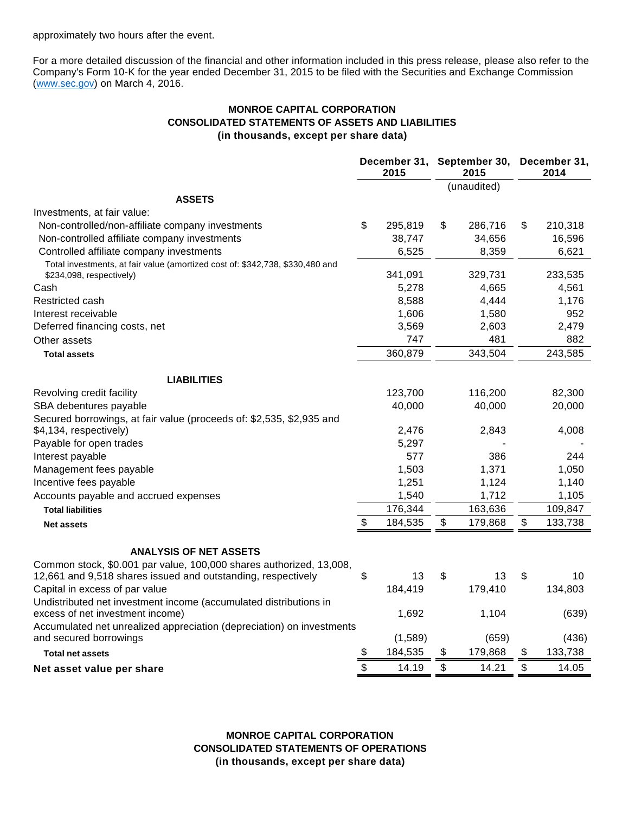approximately two hours after the event.

For a more detailed discussion of the financial and other information included in this press release, please also refer to the Company's Form 10-K for the year ended December 31, 2015 to be filed with the Securities and Exchange Commission ([www.sec.gov\)](http://www.globenewswire.com/Tracker?data=Tdi1pxP377MbcjTUynA4DGOQ1ASYu7rQyY_IlHzngOXJDvzstBbbAMRHOgHFwxQ6jjSbjdtCpR3QrK0-RU49rw==) on March 4, 2016.

## **MONROE CAPITAL CORPORATION CONSOLIDATED STATEMENTS OF ASSETS AND LIABILITIES (in thousands, except per share data)**

|                                                                                                       | 2015 |         | December 31, September 30, December 31,<br>2015 |             | 2014 |                  |
|-------------------------------------------------------------------------------------------------------|------|---------|-------------------------------------------------|-------------|------|------------------|
|                                                                                                       |      |         |                                                 | (unaudited) |      |                  |
| <b>ASSETS</b>                                                                                         |      |         |                                                 |             |      |                  |
| Investments, at fair value:                                                                           |      |         |                                                 |             |      |                  |
| Non-controlled/non-affiliate company investments                                                      | \$   | 295,819 | \$                                              | 286,716     | \$   | 210,318          |
| Non-controlled affiliate company investments                                                          |      | 38,747  |                                                 | 34,656      |      | 16,596           |
| Controlled affiliate company investments                                                              |      | 6,525   |                                                 | 8,359       |      | 6,621            |
| Total investments, at fair value (amortized cost of: \$342,738, \$330,480 and                         |      | 341,091 |                                                 | 329,731     |      |                  |
| \$234,098, respectively)<br>Cash                                                                      |      | 5,278   |                                                 | 4,665       |      | 233,535<br>4,561 |
| Restricted cash                                                                                       |      | 8,588   |                                                 | 4,444       |      | 1,176            |
| Interest receivable                                                                                   |      | 1,606   |                                                 | 1,580       |      | 952              |
| Deferred financing costs, net                                                                         |      | 3,569   |                                                 | 2,603       |      | 2,479            |
| Other assets                                                                                          |      | 747     |                                                 | 481         |      | 882              |
| <b>Total assets</b>                                                                                   |      | 360,879 |                                                 | 343,504     |      | 243,585          |
| <b>LIABILITIES</b>                                                                                    |      |         |                                                 |             |      |                  |
| Revolving credit facility                                                                             |      | 123,700 |                                                 | 116,200     |      | 82,300           |
| SBA debentures payable                                                                                |      | 40,000  |                                                 | 40,000      |      | 20,000           |
| Secured borrowings, at fair value (proceeds of: \$2,535, \$2,935 and                                  |      |         |                                                 |             |      |                  |
| \$4,134, respectively)                                                                                |      | 2,476   |                                                 | 2,843       |      | 4,008            |
| Payable for open trades                                                                               |      | 5,297   |                                                 |             |      |                  |
| Interest payable                                                                                      |      | 577     |                                                 | 386         |      | 244              |
| Management fees payable                                                                               |      | 1,503   |                                                 | 1,371       |      | 1,050            |
| Incentive fees payable                                                                                |      | 1,251   |                                                 | 1,124       |      | 1,140            |
| Accounts payable and accrued expenses                                                                 |      | 1,540   |                                                 | 1,712       |      | 1,105            |
| <b>Total liabilities</b>                                                                              |      | 176,344 |                                                 | 163,636     |      | 109,847          |
| <b>Net assets</b>                                                                                     | \$   | 184,535 | \$                                              | 179,868     | \$   | 133,738          |
| <b>ANALYSIS OF NET ASSETS</b>                                                                         |      |         |                                                 |             |      |                  |
| Common stock, \$0.001 par value, 100,000 shares authorized, 13,008,                                   |      |         |                                                 |             |      |                  |
| 12,661 and 9,518 shares issued and outstanding, respectively                                          | \$   | 13      | \$                                              | 13          | \$   | 10               |
| Capital in excess of par value                                                                        |      | 184,419 |                                                 | 179,410     |      | 134,803          |
| Undistributed net investment income (accumulated distributions in<br>excess of net investment income) |      | 1,692   |                                                 | 1,104       |      | (639)            |
| Accumulated net unrealized appreciation (depreciation) on investments<br>and secured borrowings       |      | (1,589) |                                                 | (659)       |      | (436)            |
| <b>Total net assets</b>                                                                               | \$   | 184,535 | \$                                              | 179,868     | \$   | 133,738          |
| Net asset value per share                                                                             | \$   | 14.19   | \$                                              | 14.21       | \$   | 14.05            |

**MONROE CAPITAL CORPORATION CONSOLIDATED STATEMENTS OF OPERATIONS (in thousands, except per share data)**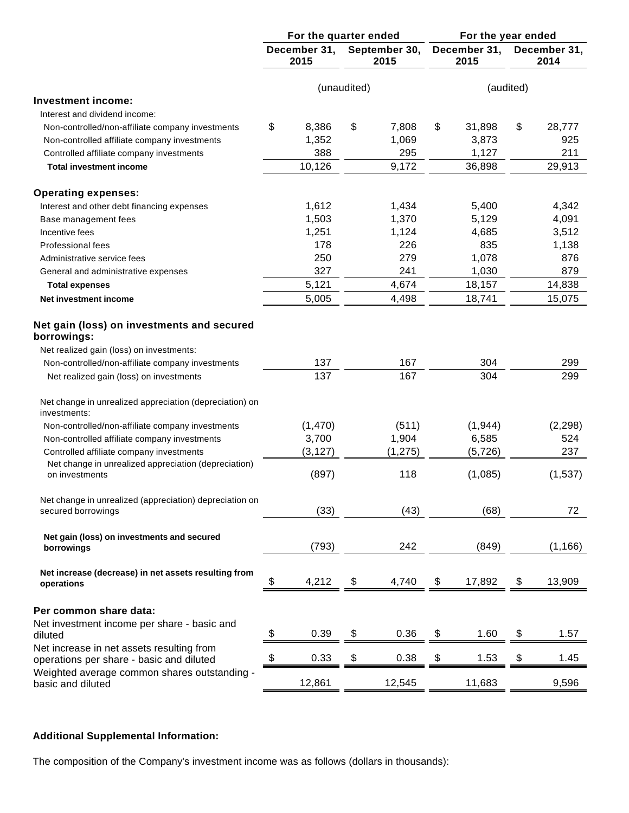|                                                                                       | For the quarter ended |                      |             | For the year ended    |    |                      |           |                      |
|---------------------------------------------------------------------------------------|-----------------------|----------------------|-------------|-----------------------|----|----------------------|-----------|----------------------|
|                                                                                       |                       | December 31,<br>2015 |             | September 30,<br>2015 |    | December 31,<br>2015 |           | December 31,<br>2014 |
|                                                                                       |                       |                      | (unaudited) |                       |    |                      | (audited) |                      |
| Investment income:                                                                    |                       |                      |             |                       |    |                      |           |                      |
| Interest and dividend income:                                                         |                       |                      |             |                       |    |                      |           |                      |
| Non-controlled/non-affiliate company investments                                      | \$                    | 8,386                | \$          | 7,808                 | \$ | 31,898               | \$        | 28,777               |
| Non-controlled affiliate company investments                                          |                       | 1,352                |             | 1,069                 |    | 3,873                |           | 925                  |
| Controlled affiliate company investments                                              |                       | 388                  |             | 295                   |    | 1,127                |           | 211                  |
| <b>Total investment income</b>                                                        |                       | 10,126               |             | 9,172                 |    | 36,898               |           | 29,913               |
| <b>Operating expenses:</b>                                                            |                       |                      |             |                       |    |                      |           |                      |
| Interest and other debt financing expenses                                            |                       | 1,612                |             | 1,434                 |    | 5,400                |           | 4,342                |
| Base management fees                                                                  |                       | 1,503                |             | 1,370                 |    | 5,129                |           | 4,091                |
| Incentive fees                                                                        |                       | 1,251                |             | 1,124                 |    | 4,685                |           | 3,512                |
| <b>Professional fees</b>                                                              |                       | 178                  |             | 226                   |    | 835                  |           | 1,138                |
| Administrative service fees                                                           |                       | 250                  |             | 279                   |    | 1,078                |           | 876                  |
| General and administrative expenses                                                   |                       | 327                  |             | 241                   |    | 1,030                |           | 879                  |
| <b>Total expenses</b>                                                                 |                       | 5,121                |             | 4,674                 |    | 18,157               |           | 14,838               |
| Net investment income                                                                 |                       | 5,005                |             | 4,498                 |    | 18,741               |           | 15,075               |
| Net gain (loss) on investments and secured<br>borrowings:                             |                       |                      |             |                       |    |                      |           |                      |
| Net realized gain (loss) on investments:                                              |                       |                      |             |                       |    |                      |           |                      |
| Non-controlled/non-affiliate company investments                                      |                       | 137                  |             | 167                   |    | 304                  |           | 299                  |
| Net realized gain (loss) on investments                                               |                       | 137                  |             | 167                   |    | 304                  |           | 299                  |
| Net change in unrealized appreciation (depreciation) on<br>investments:               |                       |                      |             |                       |    |                      |           |                      |
| Non-controlled/non-affiliate company investments                                      |                       | (1, 470)             |             | (511)                 |    | (1, 944)             |           | (2, 298)             |
| Non-controlled affiliate company investments                                          |                       | 3,700                |             | 1,904                 |    | 6,585                |           | 524                  |
| Controlled affiliate company investments                                              |                       | (3, 127)             |             | (1, 275)              |    | (5, 726)             |           | 237                  |
| Net change in unrealized appreciation (depreciation)<br>on investments                |                       | (897)                |             | 118                   |    | (1,085)              |           | (1,537)              |
| Net change in unrealized (appreciation) depreciation on<br>secured borrowings         |                       | (33)                 |             | (43)                  |    | (68)                 |           | 72                   |
| Net gain (loss) on investments and secured<br>borrowings                              |                       | (793)                |             | 242                   |    | (849)                |           | (1, 166)             |
| Net increase (decrease) in net assets resulting from<br>operations                    | \$                    | 4,212                | \$          | 4,740                 | \$ | 17,892               | \$        | 13,909               |
|                                                                                       |                       |                      |             |                       |    |                      |           |                      |
| Per common share data:                                                                |                       |                      |             |                       |    |                      |           |                      |
| Net investment income per share - basic and<br>diluted                                | \$                    | 0.39                 | \$          | 0.36                  | \$ | 1.60                 | \$        | 1.57                 |
| Net increase in net assets resulting from<br>operations per share - basic and diluted | \$                    | 0.33                 | \$          | 0.38                  | \$ | 1.53                 | \$        | 1.45                 |
| Weighted average common shares outstanding -<br>basic and diluted                     |                       | 12,861               |             | 12,545                |    | 11,683               |           | 9,596                |

## **Additional Supplemental Information:**

The composition of the Company's investment income was as follows (dollars in thousands):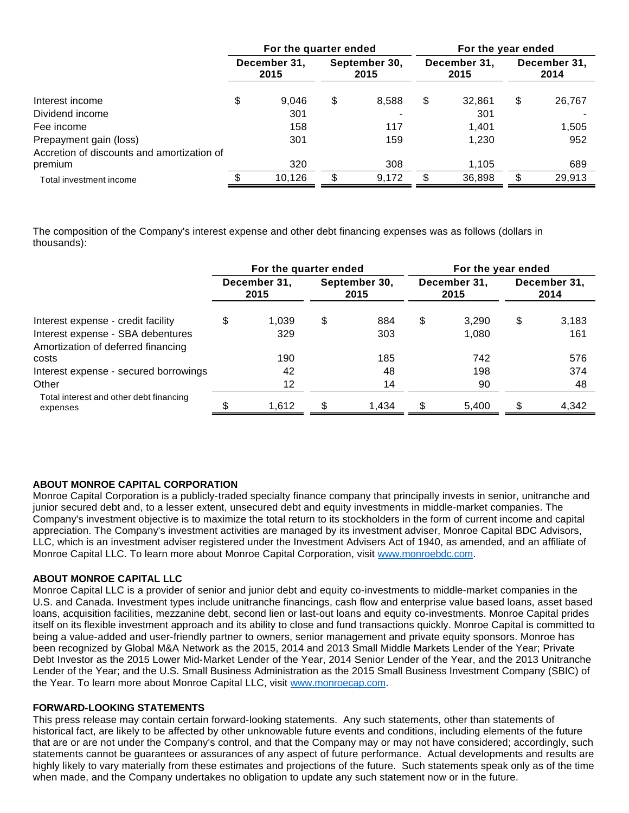|                                            | For the quarter ended |    |                       | For the year ended |                      |                      |        |  |  |
|--------------------------------------------|-----------------------|----|-----------------------|--------------------|----------------------|----------------------|--------|--|--|
|                                            | December 31,<br>2015  |    | September 30,<br>2015 |                    | December 31,<br>2015 | December 31,<br>2014 |        |  |  |
| Interest income                            | \$<br>9.046           | \$ | 8,588                 | \$                 | 32.861               | \$                   | 26,767 |  |  |
| Dividend income                            | 301                   |    |                       |                    | 301                  |                      |        |  |  |
| Fee income                                 | 158                   |    | 117                   |                    | 1.401                |                      | 1,505  |  |  |
| Prepayment gain (loss)                     | 301                   |    | 159                   |                    | 1.230                |                      | 952    |  |  |
| Accretion of discounts and amortization of |                       |    |                       |                    |                      |                      |        |  |  |
| premium                                    | 320                   |    | 308                   |                    | 1,105                |                      | 689    |  |  |
| Total investment income                    | 10.126                | \$ | 9,172                 | \$.                | 36.898               | \$                   | 29,913 |  |  |

The composition of the Company's interest expense and other debt financing expenses was as follows (dollars in thousands):

|                                                     | For the quarter ended |                      |    |                       |    | For the year ended   |                      |       |  |  |
|-----------------------------------------------------|-----------------------|----------------------|----|-----------------------|----|----------------------|----------------------|-------|--|--|
|                                                     |                       | December 31,<br>2015 |    | September 30,<br>2015 |    | December 31,<br>2015 | December 31,<br>2014 |       |  |  |
| Interest expense - credit facility                  | \$                    | 1.039                | \$ | 884                   | \$ | 3,290                | \$                   | 3,183 |  |  |
| Interest expense - SBA debentures                   |                       | 329                  |    | 303                   |    | 1,080                |                      | 161   |  |  |
| Amortization of deferred financing                  |                       |                      |    |                       |    |                      |                      |       |  |  |
| costs                                               |                       | 190                  |    | 185                   |    | 742                  |                      | 576   |  |  |
| Interest expense - secured borrowings               |                       | 42                   |    | 48                    |    | 198                  |                      | 374   |  |  |
| Other                                               |                       | 12                   |    | 14                    |    | 90                   |                      | 48    |  |  |
| Total interest and other debt financing<br>expenses |                       | 1,612                |    | 1.434                 |    | 5,400                |                      | 4,342 |  |  |

#### **ABOUT MONROE CAPITAL CORPORATION**

Monroe Capital Corporation is a publicly-traded specialty finance company that principally invests in senior, unitranche and junior secured debt and, to a lesser extent, unsecured debt and equity investments in middle-market companies. The Company's investment objective is to maximize the total return to its stockholders in the form of current income and capital appreciation. The Company's investment activities are managed by its investment adviser, Monroe Capital BDC Advisors, LLC, which is an investment adviser registered under the Investment Advisers Act of 1940, as amended, and an affiliate of Monroe Capital LLC. To learn more about Monroe Capital Corporation, visit [www.monroebdc.com.](http://www.globenewswire.com/Tracker?data=1heNVwG_b8MFjRFUcVCLkAYyJ4zYBOf_z5BB08WFAXs__1jIeVtlpAqLMhEdhymP1oVgDxWHkXMml4gdoW6WDA==)

#### **ABOUT MONROE CAPITAL LLC**

Monroe Capital LLC is a provider of senior and junior debt and equity co-investments to middle-market companies in the U.S. and Canada. Investment types include unitranche financings, cash flow and enterprise value based loans, asset based loans, acquisition facilities, mezzanine debt, second lien or last-out loans and equity co-investments. Monroe Capital prides itself on its flexible investment approach and its ability to close and fund transactions quickly. Monroe Capital is committed to being a value-added and user-friendly partner to owners, senior management and private equity sponsors. Monroe has been recognized by Global M&A Network as the 2015, 2014 and 2013 Small Middle Markets Lender of the Year; Private Debt Investor as the 2015 Lower Mid-Market Lender of the Year, 2014 Senior Lender of the Year, and the 2013 Unitranche Lender of the Year; and the U.S. Small Business Administration as the 2015 Small Business Investment Company (SBIC) of the Year. To learn more about Monroe Capital LLC, visit [www.monroecap.com.](http://www.globenewswire.com/Tracker?data=1heNVwG_b8MFjRFUcVCLkOAGtOs5U4sP3EMzfpt92XTthsOpYLXv_I7CQYOHe2MAr637VWG9LOCdN4O_mNU19A==)

#### **FORWARD-LOOKING STATEMENTS**

This press release may contain certain forward-looking statements. Any such statements, other than statements of historical fact, are likely to be affected by other unknowable future events and conditions, including elements of the future that are or are not under the Company's control, and that the Company may or may not have considered; accordingly, such statements cannot be guarantees or assurances of any aspect of future performance. Actual developments and results are highly likely to vary materially from these estimates and projections of the future. Such statements speak only as of the time when made, and the Company undertakes no obligation to update any such statement now or in the future.